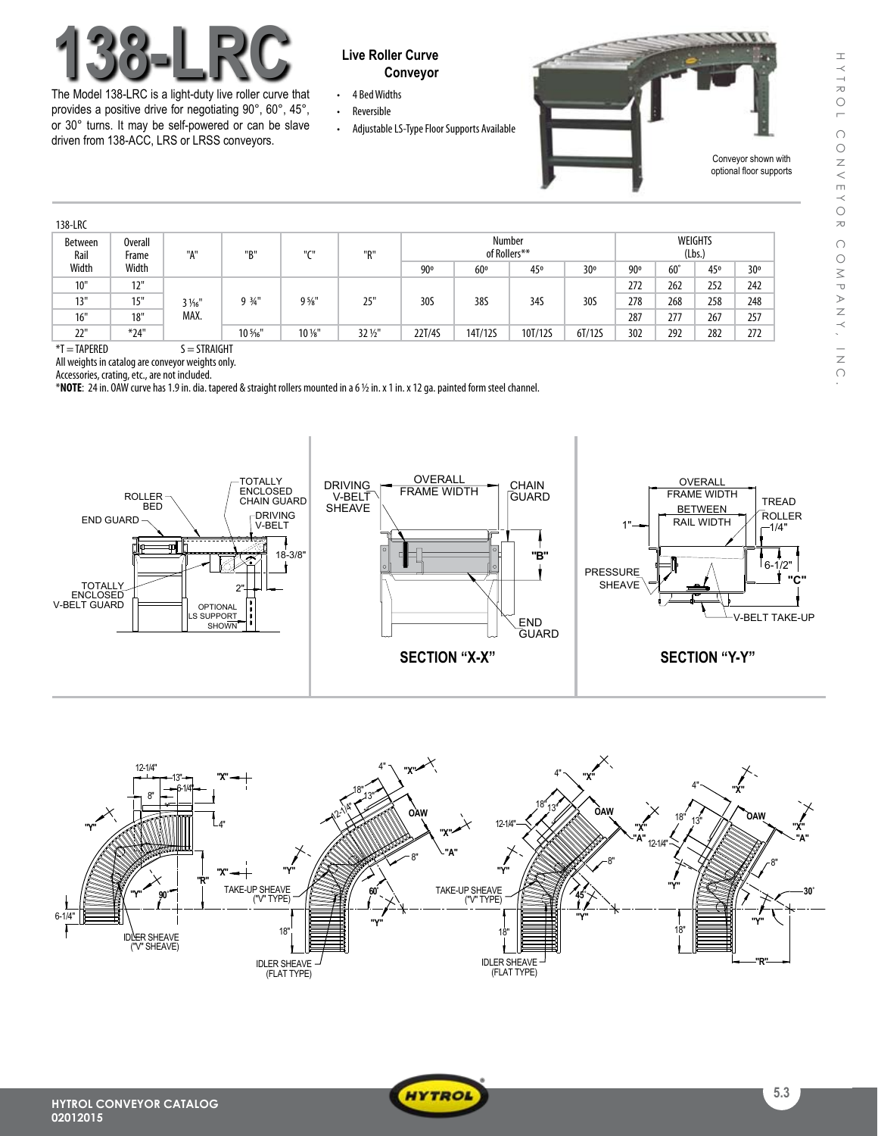

The Model 138-LRC is a light-duty live roller curve that provides a positive drive for negotiating 90°, 60°, 45°, or 30° turns. It may be self-powered or can be slave driven from 138-ACC, LRS or LRSS conveyors.

## **Conveyor**

- • 4 BedWidths • Reversible
- Adjustable LS-Type Floor Supports Available



| 138-LRC         |                  |                        |          |                                       |                   |                        |         |         |        |                          |              |     |     |  |
|-----------------|------------------|------------------------|----------|---------------------------------------|-------------------|------------------------|---------|---------|--------|--------------------------|--------------|-----|-----|--|
| Between<br>Rail | Overall<br>Frame | "A"                    | "B"      | $^{\prime\prime}$ C $^{\prime\prime}$ | "R"               | Number<br>of Rollers** |         |         |        | <b>WEIGHTS</b><br>(Lbs.) |              |     |     |  |
| Width           | Width            |                        |          |                                       |                   | 90°                    | 60°     | 45°     | 30°    | 90°                      | $60^{\circ}$ | 45° | 30° |  |
| 10"             | 12"              | $3\frac{1}{6}$<br>MAX. | $9.34$ " | $9\frac{5}{8}$ "                      | 25"               | 30S                    | 38S     | 34S     | 30S    | 272                      | 262          | 252 | 242 |  |
| 13"             | 15"              |                        |          |                                       |                   |                        |         |         |        | 278                      | 268          | 258 | 248 |  |
| 16"             | 18"              |                        |          |                                       |                   |                        |         |         |        | 287                      | 277          | 267 | 257 |  |
| 22"             | $*24"$           |                        | 10 %"    | $10\,\mathrm{W}$                      | $32\frac{1}{2}$ " | 22T/4S                 | 14T/12S | 10T/12S | 6T/12S | 302                      | 292          | 282 | 272 |  |

 $*T = TAPERED$   $S = STRAIGHT$ 

All weights in catalog are conveyor weights only.

Accessories, crating, etc., are not included.

\***NOTE**: 24in. OAWcurve has1.9in.dia. tapered & straight rollers mountedin a6 1/2 in.x1in.x12ga.paintedform steel channel.